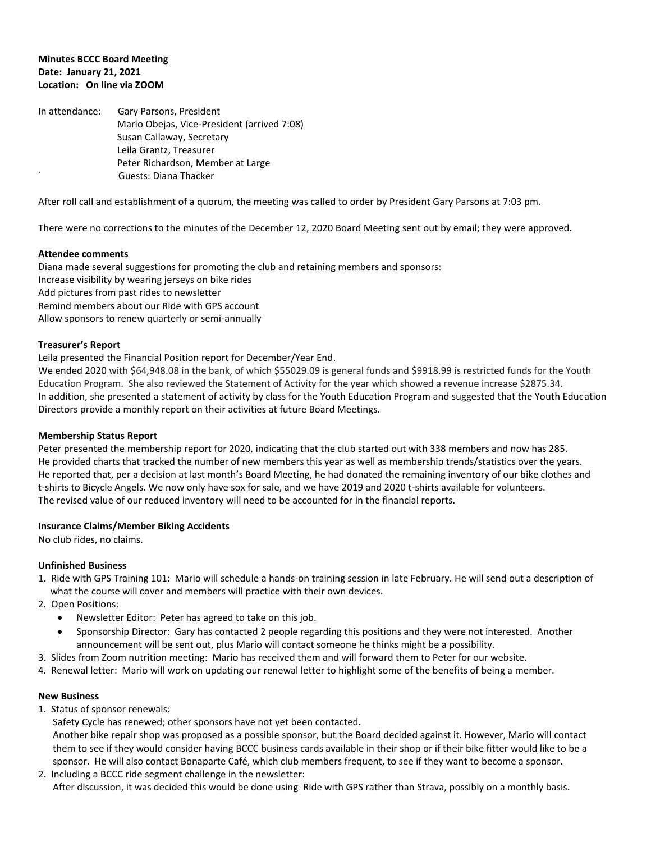#### **Minutes BCCC Board Meeting Date: January 21, 2021 Location: On line via ZOOM**

In attendance: Gary Parsons, President Mario Obejas, Vice-President (arrived 7:08) Susan Callaway, Secretary Leila Grantz, Treasurer Peter Richardson, Member at Large ` Guests: Diana Thacker

After roll call and establishment of a quorum, the meeting was called to order by President Gary Parsons at 7:03 pm.

There were no corrections to the minutes of the December 12, 2020 Board Meeting sent out by email; they were approved.

#### **Attendee comments**

Diana made several suggestions for promoting the club and retaining members and sponsors: Increase visibility by wearing jerseys on bike rides Add pictures from past rides to newsletter Remind members about our Ride with GPS account Allow sponsors to renew quarterly or semi-annually

# **Treasurer's Report**

Leila presented the Financial Position report for December/Year End.

We ended 2020 with \$64,948.08 in the bank, of which \$55029.09 is general funds and \$9918.99 is restricted funds for the Youth Education Program. She also reviewed the Statement of Activity for the year which showed a revenue increase \$2875.34. In addition, she presented a statement of activity by class for the Youth Education Program and suggested that the Youth Education Directors provide a monthly report on their activities at future Board Meetings.

# **Membership Status Report**

Peter presented the membership report for 2020, indicating that the club started out with 338 members and now has 285. He provided charts that tracked the number of new members this year as well as membership trends/statistics over the years. He reported that, per a decision at last month's Board Meeting, he had donated the remaining inventory of our bike clothes and t-shirts to Bicycle Angels. We now only have sox for sale, and we have 2019 and 2020 t-shirts available for volunteers. The revised value of our reduced inventory will need to be accounted for in the financial reports.

# **Insurance Claims/Member Biking Accidents**

No club rides, no claims.

# **Unfinished Business**

- 1. Ride with GPS Training 101: Mario will schedule a hands-on training session in late February. He will send out a description of what the course will cover and members will practice with their own devices.
- 2. Open Positions:
	- Newsletter Editor: Peter has agreed to take on this job.
	- Sponsorship Director: Gary has contacted 2 people regarding this positions and they were not interested. Another announcement will be sent out, plus Mario will contact someone he thinks might be a possibility.
- 3. Slides from Zoom nutrition meeting: Mario has received them and will forward them to Peter for our website.
- 4. Renewal letter: Mario will work on updating our renewal letter to highlight some of the benefits of being a member.

# **New Business**

1. Status of sponsor renewals:

Safety Cycle has renewed; other sponsors have not yet been contacted.

 Another bike repair shop was proposed as a possible sponsor, but the Board decided against it. However, Mario will contact them to see if they would consider having BCCC business cards available in their shop or if their bike fitter would like to be a sponsor. He will also contact Bonaparte Café, which club members frequent, to see if they want to become a sponsor.

2. Including a BCCC ride segment challenge in the newsletter: After discussion, it was decided this would be done using Ride with GPS rather than Strava, possibly on a monthly basis.